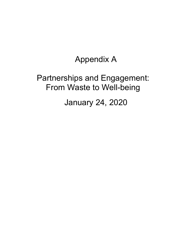# Appendix A

# Partnerships and Engagement: From Waste to Well-being

January 24, 2020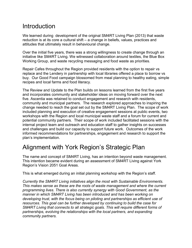### **Introduction**

We learned during development of the original SM4RT Living Plan (2013) that waste reduction is at its core a cultural shift – a change in beliefs, values, practices and attitudes that ultimately result in behavioural change.

Over the initial five years, there was a strong willingness to create change through an initiative like SM4RT Living. We witnessed collaboration around textiles, the Blue Box Working Group, and waste recycling messaging and food waste as priorities.

Repair Cafes throughout the Region provided residents with the option to repair vs replace and the Lendery in partnership with local libraries offered a place to borrow vs buy. Our Good Food campaign blossomed from meal planning to healthy eating, simple recipes and local farms and food literacy.

The Review and Update to the Plan builds on lessons learned from the first five years and incorporates community and stakeholder ideas on moving forward over the next five. Ascentia was retained to conduct engagement and research with residents, community and municipal partners. The research explored approaches to inspiring the change needed to reach the goal set out by the SM4RT Living Plan. The scope of work included planning and execution of creative engagement sessions at public events, two workshops with the Region and local municipal waste staff and a forum for current and potential community partners. Their scope of work included facilitated sessions with the internal project team and outreach and education staff to gather insights on successes and challenges and build our capacity to support future work. Outcomes of the work informed recommendations for partnerships, engagement and research to support the plan's implementation.

## Alignment with York Region's Strategic Plan

The name and concept of SM4RT Living, has an intention beyond waste management. This intention became evident during an assessment of SM4RT Living against York Region's Vision 2051 Goal Areas.

This is what emerged during an initial planning workshop with the Region's staff.

*Currently the SM4RT Living initiatives align the most with Sustainable Environments. This makes sense as these are the roots of waste management and where the current programming lives. There is also currently synergy with Good Government, as the manner in which SM4RT Living has been introduced and has been working on developing trust, with the focus being on piloting and partnerships as efficient use of resources. This goal can be further developed by continuing to build the case for SM4RT Living that connects to all strategic goals. This will require different forms of partnerships, evolving the relationships with the local partners, and expanding community partners.*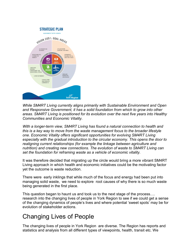

*While SM4RT Living currently aligns primarily with Sustainable Environment and Open and Responsive Government, it has a solid foundation from which to grow into other areas. SM4RT Living is positioned for its evolution over the next five years into Healthy Communities and Economic Vitality.* 

*With a longer-term view, SM4RT Living has found a natural connection to health and this is a key way to move from the waste management focus to the broader lifestyle one. Economic Vitality offers significant opportunities for evolving SM4RT Living especially with the gradual introduction to the circular economy. This opens the door to realigning current relationships (for example the linkage between agriculture and nutrition) and creating new connections. The evolution of waste to SM4RT Living can set the foundation for reframing waste as a vehicle of economic vitality.*

It was therefore decided that migrating up the circle would bring a more vibrant SM4RT Living approach in which health and economic initiatives could be the motivating factor yet the outcome is waste reduction.

There were early inklings that while much of the focus and energy had been put into managing solid waste, we need to explore root causes of why there is so much waste being generated in the first place.

This question began to haunt us and took us to the next stage of the process…. research into the changing lives of people in York Region to see if we could get a sense of the changing dynamics of people's lives and where potential 'sweet spots' may be for evolution of stakeholder actions.

## Changing Lives of People

The changing lives of people in York Region are diverse. The Region has reports and statistics and analysis from all different types of viewpoints, health, transit etc. We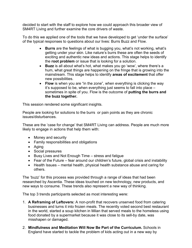decided to start with the staff to explore how we could approach this broader view of SM4RT Living and further examine the core drivers of waste.

To do this we applied one of the tools that we have developed to get 'under the surface' of the typical responses to questions about our lives: Burrs Buzz and Flow.

- **Burrs** are the feelings of what is bugging you, what's not working, what's getting under your skin. Like nature's burrs these are often the seeds of exciting and authentic new ideas and actions. This stage helps to identify the **root problem** or issue that is looking for a solution.
- **Buzz** is all about what's hot, what makes you go 'wow', where there's a hum, what great things are happening on the fringe that is growing into the mainstream. This stage helps to identify **areas of excitement** that offer new possibilities.
- **Flow** is when you are "in the zone", when everything is clicking the way it's supposed to be, when everything just seems to fall into place – sometimes in spite of you. Flow is the outcome of **putting the burrs and the buzz together.**

This session rendered some significant insights.

People are looking for solutions to the burrs or pain points as they are chronic issues/disturbances.

These are the 'case for change' that SM4RT Living can address. People are much more likely to engage in actions that help them with:

- Money and security
- Family responsibilities and obligations
- Aging
- Social pressures
- Busy Lives and Not Enough Time stress and fatigue
- Fear of the Future fear around our children's future, global crisis and instability
- Health Issues mental health, physical health substance abuse and caring for others.

The 'buzz' for this process was provided through a range of ideas that had been researched by Ascentia. These ideas touched on new technology, new products, and new ways to consume. These trends also represent a new way of thinking.

The top 3 trends participants selected as most interesting were:

- 1. **A Reframing of Leftovers:** A non-profit that recovers unserved food from catering businesses and turns it into frozen meals. The recently voted second best restaurant in the world, started a soup kitchen in Milan that served meals to the homeless using food donated by a supermarket because it was close to its sell-by date, was misshapen or damaged.
- 2. **Mindfulness and Meditation Will Now Be Part of the Curriculum.** Schools in England have started to tackle the problem of kids acting out in a new way by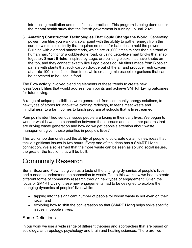introducing meditation and mindfulness practices. This program is being done under the mental health study that the British government is running up until 2021

3. **Amazing Construction Technologies That Could Change the World.** Generating power from tiles you walk on, solar paint with the ability to gather energy from the sun, or wireless electricity that requires no need for batteries to hold the power. Building with diamond nanothreads, which are 20,000 times thinner than a strand of human hair, "printing" a cobblestone road, or using Lego-like smart bricks that snap together**. Smart Bricks**, inspired by Lego, are building blocks that have knobs on the top, and they connect exactly like Lego pieces do. Air filters made from Biosolar panels with plants that suck carbon dioxide out of the air and produce fresh oxygen at a rate 100 times faster than trees while creating microscopic organisms that can be harvested to be used in food.

The Flow activity involved blending elements of these trends to create new ideas/possibilities that would address pain points and achieve SM4RT Living outcomes for future living.

A range of unique possibilities were generated from community energy solutions, to new types of stores for innovative clothing redesign, to teens meet waste and mindfulness, to a farm comes to lunch program at schools that is livestreamed.

Pain points identified serious issues people are facing in their daily lives. We began to wonder what is was the connection between these issues and consumer patterns that are driving waste generation and how do we get people's attention about waste management given these priorities in people's lives?

This workshop demonstrated the ability of people to co-create dynamic new ideas that tackle significant issues in two hours. Every one of the ideas has a SM4RT Living connection. We also learned that the more waste can be seen as solving social issues, the greater the traction that will be built.

## Community Research

Burrs, Buzz and Flow had given us a taste of the changing dynamics of people's lives and a need to understand the connection to waste. To do this we knew we had to create different forms of community research through new types of engagement. Given the focus of SM4RT Living, these new engagements had to be designed to explore the changing dynamics of peoples' lives while:

- tapping into the significant number of people for whom waste is not even on their radar; and
- exploring how to shift the conversation so that SM4RT Living helps solve specific issues in people's lives.

#### Some Definitions

In our work we use a wide range of different theories and approaches that are based on sociology, anthropology, psychology and brain and healing sciences. There are two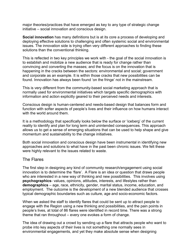major theories/practices that have emerged as key to any type of strategic change initiative – social innovation and conscious design.

**Social innovation** has many definitions but is at its core a process of developing and deploying effective solutions to challenging and often systemic social and environmental issues. The innovation side is trying often very different approaches to finding these solutions than the conventional thinking.

This is reflected in two key principles we work with - the goal of the social innovation is to establish and mobilize a new audience that is ready for change rather than convincing and converting the masses; and the focus is on the innovation that is happening in the cracks between the sectors: environmental and social; government and corporate as an example. It is within those cracks that new possibilities can be found. Innovation has always been found 'on the fringe' not in the mainstream.

This is very different from the community-based social marketing approach that is normally used for environmental initiatives which targets specific demographics with information and action explicitly geared to their perceived needs and interests.

Conscious design is human-centered and needs-based design that balances form and function with softer aspects of people's lives and their influence on how humans interact with the world around them.

It is a methodology that specifically looks below the surface or 'iceberg' of the current reality to identify and plan for long term and unintended consequences. This approach allows us to get a sense of emerging situations that can be used to help shape and give momentum and sustainability to the change initiatives.

Both social innovation and conscious design have been instrumental in identifying new approaches and solutions to what have in the past been chronic issues. We felt these were highly relevant to the issues related to waste.

#### The Flares

The first step in designing any kind of community research/engagement using social innovation is to determine the 'flare'. A Flare is an idea or question that draws people who are interested in a new way of thinking and new possibilities. This involves using **psychographics**- values, opinions, attitudes, interests, and lifestyles rather than **demographics** – age, race, ethnicity, gender, marital status, income, education, and employment. The outcome is the development of a new blended audience that crosses typical demographic boundaries such as culture, age and socio-economic factors.

When we asked the staff to identify flares that could be sent up to attract people to engage with the Region using a new thinking and possibilities, and the pain points in people's lives, at total of 86 flares were identified in record time. There was a strong theme that ran throughout – every one evokes a form of change.

The idea of drawing out a crowd by sending up a flare that attracts people who want to probe into key aspects of their lives is not something one normally sees in environmental engagements, and yet they make absolute sense when designing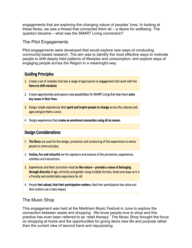engagements that are exploring the changing nature of peoples' lives. In looking at these flares, we saw a thread that connected them all – a desire for wellbeing. The question became – what was the SM4RT Living connection?

#### The Pilot Engagements

Pilot engagements were developed that would explore new ways of conducting community-based research. The aim was to identify the most effective ways to motivate people to shift deeply held patterns of lifestyles and consumption; and explore ways of engaging people across the Region in a meaningful way.

#### **Guiding Principles**

- 1. Create a set of modules that test a range of approaches to engagement that work with the flares to shift mindsets
- 2. Create opportunities and explore new possibilities for SM4RT Living that help them solve key issues in their lives.
- 3. Design simple experiences that spark and inspire people to change across the cultures and ages and give them a voice.
- 4. Design experiences that create an emotional connection using all six senses.

#### **Design Considerations**

- 1. The flares are used for the design, promotion and conducting of the experiences to entice people to come and play.
- 2. Festive, fun and colourful are the signature and essence of the promotion, experiences, activities and interactions.
- 3. Experiences and their promotion must be like nature  $-$  provides a sense of belonging through diversity of age, ethnicity and gender using multiple formats, levels and ways so it is a friendly and comfortable experience for all.
- 4. People feel valued, that their participation matters, that their participation has value and their actions can create impact.

#### The Music Shop

This engagement was held at the Markham Music Festival in June to explore the connection between waste and shopping. We know people love to shop and this practice has even been referred to as 'retail therapy'. The Music Shop brought the focus on shopping at home and the opportunities for giving items new life and purpose rather than the current view of second hand and repurposing.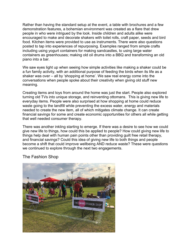Rather than having the standard setup at the event, a table with brochures and a few demonstration features, a bohemian environment was created as a flare that drew people in who were intrigued by the look. Inside children and adults alike were encouraged to make and decorate shakers with toilet rolls, craft paper, seeds and bird food. Kitchen items were provided to use as instruments. There were also questions posted to tap into experiences of repurposing. Examples ranged from simple crafts including using yogurt containers for making sandcastles, to using large water containers as greenhouses; making old oil drums into a BBQ and transforming an old piano into a bar.

We saw eyes light up when seeing how simple activities like making a shaker could be a fun family activity, with an additional purpose of feeding the birds when its life as a shaker was over – all by 'shopping at home'. We saw real energy come into the conversations when people spoke about their creativity when giving old stuff new meaning.

Creating items and toys from around the home was just the start. People also explored turning old TVs into unique storage, and reinventing ottomans. This is giving new life to everyday items. People were also surprised at how shopping at home could reduce waste going to the landfill while preventing the excess water, energy and materials needed to create the new item, all of which mitigates climate change. It can create financial savings for some and create economic opportunities for others all while getting that well needed consumer therapy.

There was another inkling starting to emerge. If there was a desire to see how we could give new life to things, how could this be applied to people? How could giving new life to things help deal with human pain points other than providing guilt free retail therapy, and financial savings? Could this idea of giving new life to both things and people become a shift that could improve wellbeing AND reduce waste? These were questions we continued to explore through the next two engagements.



The Fashion Shop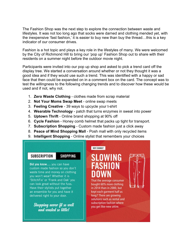The Fashion Shop was the next step to explore the connection between waste and lifestyles. It was not too long ago that socks were darned and clothing mended yet, with the inexpensive 'fast fashion,' it is easier to buy new than buy the thread…this is a key indicator of our consumer drives.

Fashion is a hot topic and plays a key role in the lifestyles of many. We were welcomed by the City of Richmond Hill to bring our 'pop up' Fashion Shop out to share with their residents on a summer night before the outdoor movie night.

Participants were invited into our pop up shop and asked to pick a trend card off the display tree. We started a conversation around whether or not they thought it was a good idea and if they would use such a trend. This was identified with a happy or sad face that then could be expanded on in a comment box on the card. The concept was to test the willingness to the following changing trends and to discover how these would be used and if not, why not.

- 1. **Zero Waste Clothing** clothes made from scrap material
- 2. **Not Your Moms Swap Meet** online swap meets
- 3. **Feeling Creative** 39 ways to upcycle your t-shirt
- 4. **Wearable Technology** patch that turns enzymes in sweat into power
- 5. **Uptown Thrift** Online brand shopping at 90% off
- 6. **Cycle Fashion** Honey comb helmet that packs up tight for transport.
- 7. **Subscription Shopping** Custom made fashion just a click away
- 8. **Peace of Mind Shopping Mall** Posh mall with only recycled items
- 9. **Intelligent Shopping**  Online stylist that remembers your choices

#### **SUBSCRIPTION**

**SHOPPING** 

Did you know.... you can have custom made fashion so you don't waste time and money on clothing you won't wear? Whether it is 'StitchFix' or 'Frank and Oak' you can look great without the fuss. Have their stylists put together an ensemble for you and have it delivered right to your door.

Shopping never fit so well and wasted so little!

# SLOWING

WHY CHANGE?

That the average consumer bought 60% more clothing in 2014 than in 2000, but kept each garment half as long? There are growing solutions such as rental and subscription fashion where you get like-new attire.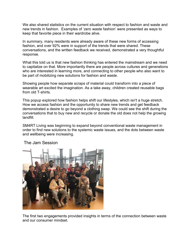We also shared statistics on the current situation with respect to fashion and waste and new trends in fashion. Examples of 'zero waste fashion' were presented as ways to keep that favorite piece in their wardrobe alive.

In summary, many residents were already aware of these new forms of accessing fashion, and over 92% were in support of the trends that were shared. These conversations, and the written feedback we received, demonstrated a very thoughtful response.

What this told us is that new fashion thinking has entered the mainstream and we need to capitalize on that. More importantly there are people across cultures and generations who are interested in learning more, and connecting to other people who also want to be part of mobilizing new solutions for fashion and waste.

Showing people how separate scraps of material could transform into a piece of wearable art excited the imagination. As a take away, children created reusable bags from old T-shirts.

This popup explored how fashion helps shift our lifestyles, which isn't a huge stretch. How we access fashion and the opportunity to share new trends and get feedback demonstrated a desire to go beyond a clothing swap. We could see the shift during the conversations that to buy new and recycle or donate the old does not help the growing landfill.

SM4RT Living was beginning to expand beyond conventional waste management in order to find new solutions to the systemic waste issues, and the dots between waste and wellbeing were increasing.



The Jam Session

The first two engagements provided insights in terms of the connection between waste and our consumer mindset.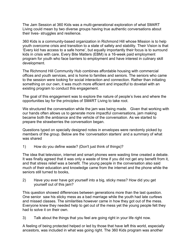The Jam Session at 360 Kids was a multi-generational exploration of what SM4RT Living could mean by two diverse groups having true authentic conversations about their lives- struggles and resilience.

360 Kids is a community-based organization in Richmond Hill whose Mission is to help youth overcome crisis and transition to a state of safety and stability. Their Vision is that 'Every kid has access to a safe home', but equally importantly their focus is to surround kids in crisis with care. Every Bite Matters (EBM) is a 16-week paid employment program for youth who face barriers to employment and have interest in culinary skill development.

The Richmond Hill Community Hub combines affordable housing with commercial offices and youth services, and is home to families and seniors. The seniors who came to the session were looking for social interaction and connection. Rather than initiating something on our own, it was much more efficient and impactful to dovetail with an existing program to conduct this engagement.

The goal of this engagement was to explore the nature of people's lives and where the opportunities lay for the principles of SM4RT Living to take root.

We structured the conversation while the jam was being made. Given that working with our hands often allows us to generate more impactful conversations, jam making became both the ambiance and the vehicle of the conversation. As we started to prepare the strawberries the conversation began.

Questions typed on specially designed notes in envelopes were randomly picked by members of the group. Below are the 'conversation starters' and a summary of what was shared

1) How do you define waste? (Don't just think of things)?

The idea that television, internet and smart phones were wasting time created a debate. It was finally agreed that it was only a waste of time if you did not get any benefit from it, and that stress relief was a benefit. The young people in the conversation also said much of their education and knowledge came from the internet and the phone while the seniors still turned to books,

2) Have you ever have got yourself into a big, sticky mess? How did you get yourself out of this jam?

This question showed differences between generations more than the last question. One senior saw his sticky mess as a bad marriage while the youth had late curfews and missed classes. The similarities however came in how they got out of the mess. Everyone knew they needed help to get out of the mess yet the young people felt they had to solve it on their own.

3) Talk about the things that you feel are going right in your life right now.

A feeling of being protected helped or led by those that have left this world, especially ancestors, was included in what was going right. The 360 Kids program was another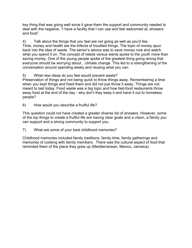key thing that was going well since it gave them the support and community needed to deal with the negative, "I have a facility that I can use and feel welcomed at, showers and food".

4) Talk about the things that you feel are not going as well as you'd like. Time, money and health are the trifecta of troubled things. The topic of money spun back into the idea of waste. The senior's advice was to save money now and watch what you spend it on. The concept of needs versus wants spoke to the youth more than saving money. One of the young people spoke of the greatest thing going wrong that everyone should be worrying about…climate change. This led to a strengthening of the conversation around spending wisely and reusing what you can.

5) What new ideas do you feel would prevent waste?

Preservation of things and not being quick to throw things away. Remembering a time when you kept things and fixed them and did not just throw it away. Things are not meant to last today. Food waste was a big topic and how fast-food restaurants throw away food at the end of the day - why don't they keep it and hand it out to homeless people?

6) How would you describe a fruitful life?

This question could not have created a greater diverse list of answers. However, some of the top things to create a fruitful life are having clear goals and a vision, a family you can support and a strong community to support you.

7) What are some of your best childhood memories?

Childhood memories included family traditions, family time, family gatherings and memories of cooking with family members. There was the cultural aspect of food that reminded them of the place they grew up (Mediterranean, Mexico, Jamaica).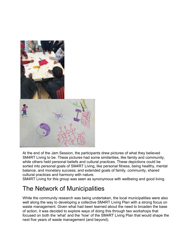

At the end of the Jam Session, the participants drew pictures of what they believed SM4RT Living to be. These pictures had some similarities, like family and community, while others held personal beliefs and cultural practices. These depictions could be sorted into personal goals of SM4RT Living, like personal fitness, being healthy, mental balance, and monetary success; and extended goals of family, community, shared cultural practices and harmony with nature.

SM4RT Living for this group was seen as synonymous with wellbeing and good living.

## The Network of Municipalities

While the community research was being undertaken, the local municipalities were also well along the way to developing a collective SM4RT Living Plan with a strong focus on waste management. Given what had been learned about the need to broaden the base of action, it was decided to explore ways of doing this through two workshops that focused on both the 'what' and the 'how' of the SM4RT Living Plan that would shape the next five years of waste management (and beyond).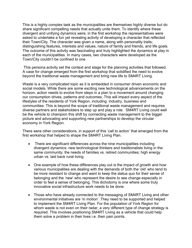This is a highly complex task as the municipalities are themselves highly diverse but do share significant compelling needs that actually unite them. To identify where these divergent and unifying dynamics were, in the first workshop the representatives were asked to undertake a fun yet revealing activity of developing a character that reflected their Town/City. The character was given a name, along with personality traits; distinguishing features, interests and values, nature of family and friends, and life goals. The outcome of this activity was fascinating and truly highlighted the dynamics at play in each of the municipalities. In many cases, two characters were developed as the Town/City couldn't be confined to one.

This persona activity set the context and stage for the planning activities that followed. A case for change emerged from the first workshop that solidified the need to evolve beyond the traditional waste management and bring new life to SM4RT Living.

Waste is a very complicated topic as it is embedded in consumer driven economic and social models. While there are some exciting new technological advancements on the horizon, action needs to evolve from steps in a plan to a movement around changing our consumption drives, patterns and outcomes. This will impact every aspect of the lifestyles of the residents of York Region, including industry, business and communities. This is beyond the scope of traditional waste management and requires diverse partners and stakeholders to step up and play a role. SM4RT Living could well be the vehicle to champion this shift by connecting waste management to the bigger picture and advocating and supporting new partnerships to develop the circular economy in York Region.

There were other considerations, in support of this 'call to action' that emerged from the first workshop that helped to shape the SM4RT Living Plan.

- There are significant differences across the nine municipalities including divergent dynamics: new technological thinkers and traditionalists living in the same community; the needs of families vs. retired communities; high energy urban vs. laid back rural living.
- One example of how these differences play out is the impact of growth and how various municipalities are dealing with the demands of both the 'old' who tend to be more resistant to change and want to keep the status quo for their sense of belonging and the 'new' who represent the desire to see change especially in order to feel a sense of belonging. This dichotomy is one where some truly innovative social infrastructure work needs to be done.
- Those who have already connected to the messaging of SM4RT Living and other environmental initiatives are 'in motion'. They need to be supported and helped to implement the SM4RT Living Plan. For the population of York Region for whom waste is not even on their radar, a very different type of change strategy is required. This involves positioning SM4RT Living as a vehicle that could help them solve a problem in their lives i.e. their pain points.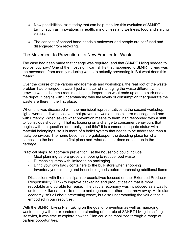- New possibilities exist today that can help mobilize this evolution of SM4RT Living, such as innovations in health, mindfulness and wellness, food and shifting values.
- The concept of second hand needs a makeover and people are confused and disengaged from recycling.

#### The Movement to Prevention – a New Frontier for Waste

The case had been made that change was required, and that SM4RT Living needed to evolve, but how? One of the most significant shifts that happened to SM4RT Living was the movement from merely reducing waste to actually preventing it. But what does this mean?

Over the course of the various engagements and workshops, the real root of the waste problem had emerged. It wasn't just a matter of managing the waste differently; the growing waste dilemma requires digging deeper than what ends up on the curb and at the depot. It begins with understanding why the levels of consumption that generate the waste are there in the first place.

When this was discussed with the municipal representatives at the second workshop, lights went on. It was believed that prevention was a much clearer message and one with urgency. When asked what prevention means to them, half responded with a shift to 'conscious shopping'. That is, focusing on a change to consumer behaviours that begins with the question "do I really need this? It is common to equate status with material belongings, so it is more of a belief system that needs to be addressed than a faulty behaviour. The home becomes the gatekeeper, the deciding place for what comes into the home in the first place and what does or does not end up in the garbage.

Practical steps to approach prevention at the household could include:

- Meal planning before grocery shopping to reduce food waste
- Purchasing items with limited to no packaging
- Bring your own bag / containers to the bulk store when shopping
- Inventory your clothing and household goods before purchasing additional items

Discussions with the municipal representatives focused on the Extended Producer Responsibility (EPR) to improve packaging and product design that is more recyclable and durable for reuse. The circular economy was introduced as a way for us to think like nature – to restore and regenerate rather than throw away. A circular economy isn't all about preventing waste, but also understanding the value that is embodied in our resources.

With the SM4RT Living Plan taking on the goal of prevention as well as managing waste, along with an expanded understanding of the role of SM4RT Living in shifting lifestyles, it was time to explore how the Plan could be mobilized through a range of partner opportunities.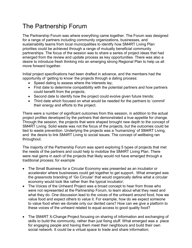## The Partnership Forum

The Partnership Forum was where everything came together. The Forum was designed for a range of partners including community organizations, businesses, and sustainability teams from local municipalities to identify how SM4RT Living Plan priorities could be achieved through a range of mutually beneficial community partnerships. The focus of the session was to share a series of project ideas that had emerged from the review and update process as key opportunities. There was also a desire to introduce fresh thinking into an emerging strong Regional Plan to help us all move forward together.

Initial project specifications had been drafted in advance, and the members had the opportunity of 'getting to know' the projects through a dating process:

- Speed dating to assess where the interests lay;
- First date to determine compatibility with the potential partners and how partners could benefit from the projects;
- Second date to identify how the project could evolve given future trends;
- Third date which focused on what would be needed for the partners to 'commit' their energy and efforts to the project.

There were a number of significant outcomes from this session, in addition to the actual project profiles developed by the partners that demonstrated a true appetite for change. Through the session, the projects that were shaped brought new depth to the concept of SM4RT Living. Solid waste was not the focus of the projects, but the outcomes could be tied to waste prevention. Underlying the projects was a 'humanizing' of SM4RT Living, and the desire to link SM4RT Living to social issues. The concept of wellbeing ran throughout.

The majority of the Partnership Forum was spent exploring 5 types of projects that met the needs of the partners and could help to mobilize the SM4RT Living Plan. There were real gems in each of the projects that likely would not have emerged through a traditional process; for example

- The Small Business for a Circular Economy was presented as an incubator or accelerator where businesses could get together to get support. What emerged was the grassroots branding of 'Go Circular' that would organically define what a circular economy would look like rather than the typical incubator;
- The Voices of the Unheard Project was a broad concept to hear from those who were not represented at the Partnership Forum, to learn about what they need and what they do. One discussion lead to the voices of the unheard around food, how we value food and expect others to value it. For example, how do we expect someone to value food when we donate only our dented cans? How can we give a platform to these voices of the unheard related to equal access to good quality food?
- The SM4RT X-Change Project focusing on sharing of information and exchanging of skills to build the community, rather than just fixing stuff. What emerged was a place for engaging people and having them meet their neighbours and build their own social network. It could be a virtual space to trade and share information;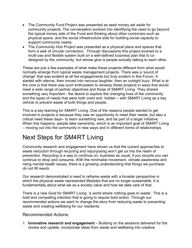- The Community Fund Project was presented as seed money set aside for community projects. The conversation evolved into identifying the need to go beyond the typical money side of the Fund and thinking about other currencies such as physical space, and the social infrastructure side for building social capacity to support community needs;
- The Community Hub Project was presented as a physical place and spaces that form a web of circular connection. Through discussions this project evolved to a multi-use and flexible system built on a well-defined business plan that is codesigned by the community, but whose glue is people actually talking to each other.

These are just a few examples of what make these projects different from what would normally emerge from typical waste management projects. There was a 'sound of change' that was evident at all the engagements but truly evident in this Forum. It started with silence, then moved into nervous laughter, then an outright buzz. What is at the core is that there was such enthusiasm to develop these projects in ways that would meet a wide range of partner objectives and those of SM4RT Living. They shared something very important - the desire to explore the changing lives of the community and the types of needs that were both overt and hidden – with SM4RT Living as a key vehicle to prevent waste of both things and people.

This is a key learning for SM4RT Living. One of the reasons people wanted to get involved in projects is because they saw an opportunity to meet their needs, but also a critical need these days– to learn something new, and be part of a larger initiative. When this happens, people take ownership, which is an important goal of SM4RT Living – moving out into the community in new ways and in different forms of relationships.

## Next Steps for SM4RT Living

Community research and engagement have shown us that the current approaches to waste reduction through recycling and repurposing won't get us into the realm of prevention. Recycling is a way to continue on, business as usual; if you recycle you can continue to shop and consume. With the minimalist movement, climate awareness and rising mental health issues, there is a growing understanding that *things we purchase do not fill needs*.

Our research demonstrated a need to reframe waste with a broader perspective in which the physical waste represented lifestyles that are no longer sustainable. It is fundamentally about what we as a society value and how we take care of that.

There is a new Goal for SM4RT Living: 'a world where nothing goes to waste'. This is a bold and compelling intention that is going to require bold action. Through our recommended actions we want to change the story from reducing waste to preventing waste and creating wellbeing for our residents.

#### Recommended Actions:

1. **Innovative research and engagement** – Building on the sessions delivered for the review and update, incorporate ideas from waste and wellbeing into creative